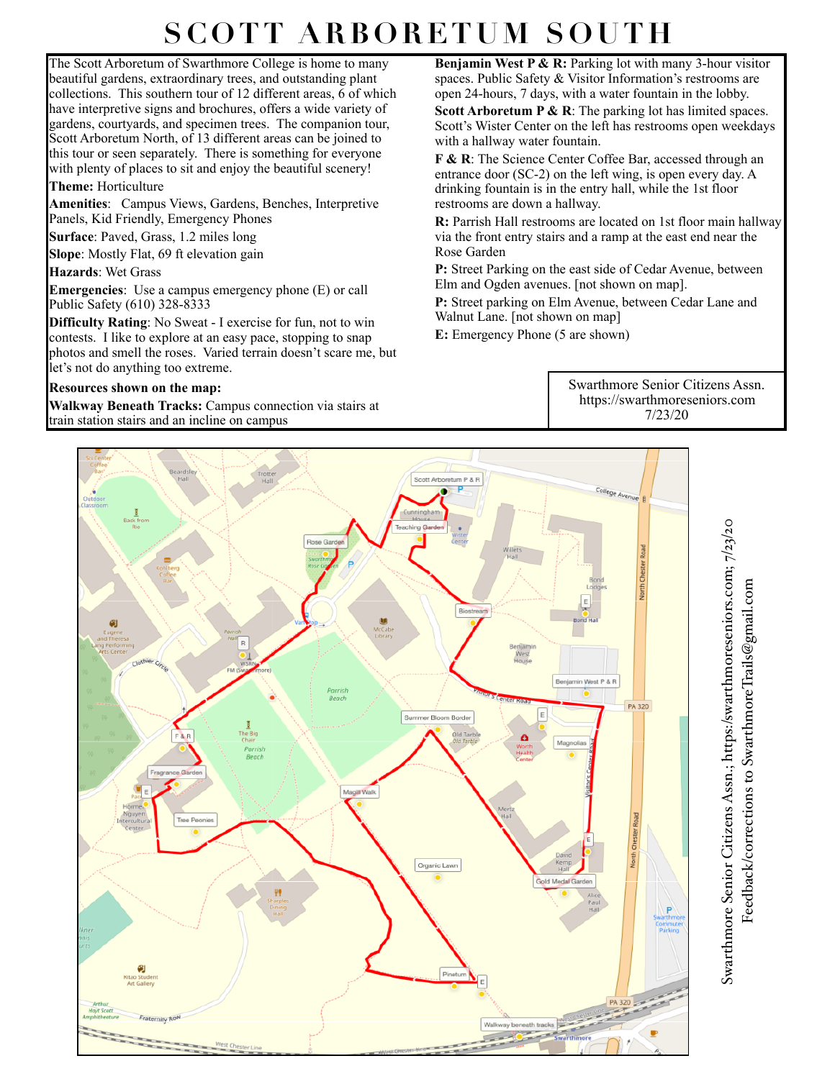## **SCOTT ARBORETUM SOUTH**

The Scott Arboretum of Swarthmore College is home to many beautiful gardens, extraordinary trees, and outstanding plant collections. This southern tour of 12 different areas, 6 of which have interpretive signs and brochures, offers a wide variety of gardens, courtyards, and specimen trees. The companion tour, Scott Arboretum North, of 13 different areas can be joined to this tour or seen separately. There is something for everyone with plenty of places to sit and enjoy the beautiful scenery!

## **Theme:** Horticulture

**Amenities**: Campus Views, Gardens, Benches, Interpretive Panels, Kid Friendly, Emergency Phones

**Surface**: Paved, Grass, 1.2 miles long

**Slope**: Mostly Flat, 69 ft elevation gain

**Hazards**: Wet Grass

**Emergencies**: Use a campus emergency phone (E) or call Public Safety (610) 328-8333

**Difficulty Rating**: No Sweat - I exercise for fun, not to win contests. I like to explore at an easy pace, stopping to snap photos and smell the roses. Varied terrain doesn't scare me, but let's not do anything too extreme.

## **Resources shown on the map:**

**Walkway Beneath Tracks:** Campus connection via stairs at train station stairs and an incline on campus

**Benjamin West P & R:** Parking lot with many 3-hour visitor spaces. Public Safety & Visitor Information's restrooms are open 24-hours, 7 days, with a water fountain in the lobby.

**Scott Arboretum P & R:** The parking lot has limited spaces. Scott's Wister Center on the left has restrooms open weekdays with a hallway water fountain.

**F & R**: The Science Center Coffee Bar, accessed through an entrance door (SC-2) on the left wing, is open every day. A drinking fountain is in the entry hall, while the 1st floor restrooms are down a hallway.

**R:** Parrish Hall restrooms are located on 1st floor main hallway via the front entry stairs and a ramp at the east end near the Rose Garden

**P:** Street Parking on the east side of Cedar Avenue, between Elm and Ogden avenues. [not shown on map].

**P:** Street parking on Elm Avenue, between Cedar Lane and Walnut Lane. [not shown on map]

**E:** Emergency Phone (5 are shown)

Swarthmore Senior Citizens Assn. <https://swarthmoreseniors.com> 7/23/20



Swarthmore Senior Citizens Assn.; https:/swarthmoreseniors.com; 7/23/20 Swarthmore Senior Citizens Assn.; https:[/swarthmoreseniors.com](http://swarthmoreseniors.com); 7/23/20 Feedback/corrections to SwarthmoreTrails@gmail.com Feedback/corrections to [SwarthmoreTrails@gmail.com](mailto:SwarthmoreTrails@gmail.com)